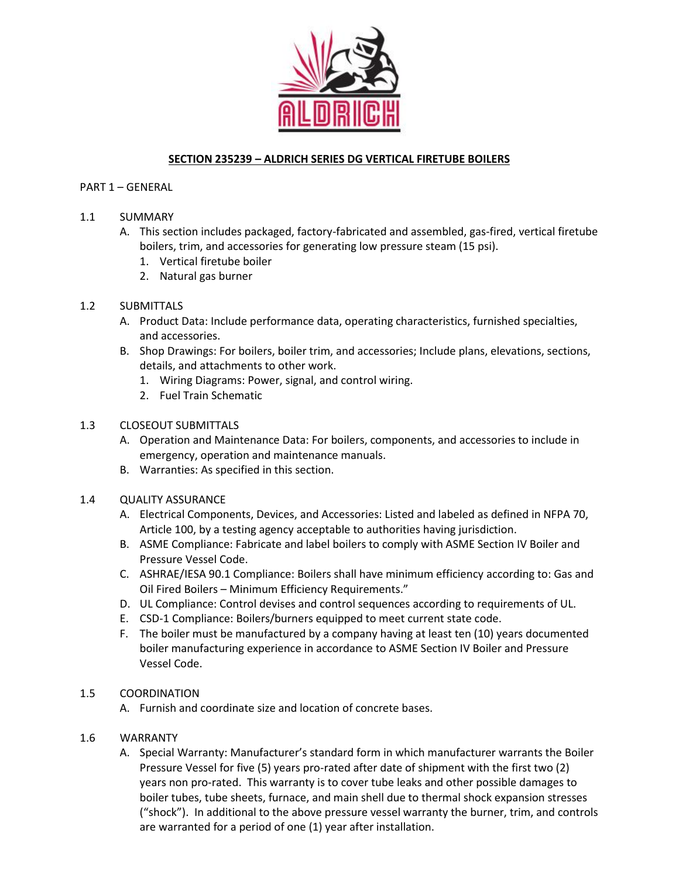

# **SECTION 235239 – ALDRICH SERIES DG VERTICAL FIRETUBE BOILERS**

## PART 1 – GENERAL

# 1.1 SUMMARY

- A. This section includes packaged, factory-fabricated and assembled, gas-fired, vertical firetube boilers, trim, and accessories for generating low pressure steam (15 psi).
	- 1. Vertical firetube boiler
	- 2. Natural gas burner

## 1.2 SUBMITTALS

- A. Product Data: Include performance data, operating characteristics, furnished specialties, and accessories.
- B. Shop Drawings: For boilers, boiler trim, and accessories; Include plans, elevations, sections, details, and attachments to other work.
	- 1. Wiring Diagrams: Power, signal, and control wiring.
	- 2. Fuel Train Schematic

### 1.3 CLOSEOUT SUBMITTALS

- A. Operation and Maintenance Data: For boilers, components, and accessories to include in emergency, operation and maintenance manuals.
- B. Warranties: As specified in this section.

### 1.4 QUALITY ASSURANCE

- A. Electrical Components, Devices, and Accessories: Listed and labeled as defined in NFPA 70, Article 100, by a testing agency acceptable to authorities having jurisdiction.
- B. ASME Compliance: Fabricate and label boilers to comply with ASME Section IV Boiler and Pressure Vessel Code.
- C. ASHRAE/IESA 90.1 Compliance: Boilers shall have minimum efficiency according to: Gas and Oil Fired Boilers – Minimum Efficiency Requirements."
- D. UL Compliance: Control devises and control sequences according to requirements of UL.
- E. CSD-1 Compliance: Boilers/burners equipped to meet current state code.
- F. The boiler must be manufactured by a company having at least ten (10) years documented boiler manufacturing experience in accordance to ASME Section IV Boiler and Pressure Vessel Code.

### 1.5 COORDINATION

A. Furnish and coordinate size and location of concrete bases.

### 1.6 WARRANTY

A. Special Warranty: Manufacturer's standard form in which manufacturer warrants the Boiler Pressure Vessel for five (5) years pro-rated after date of shipment with the first two (2) years non pro-rated. This warranty is to cover tube leaks and other possible damages to boiler tubes, tube sheets, furnace, and main shell due to thermal shock expansion stresses ("shock"). In additional to the above pressure vessel warranty the burner, trim, and controls are warranted for a period of one (1) year after installation.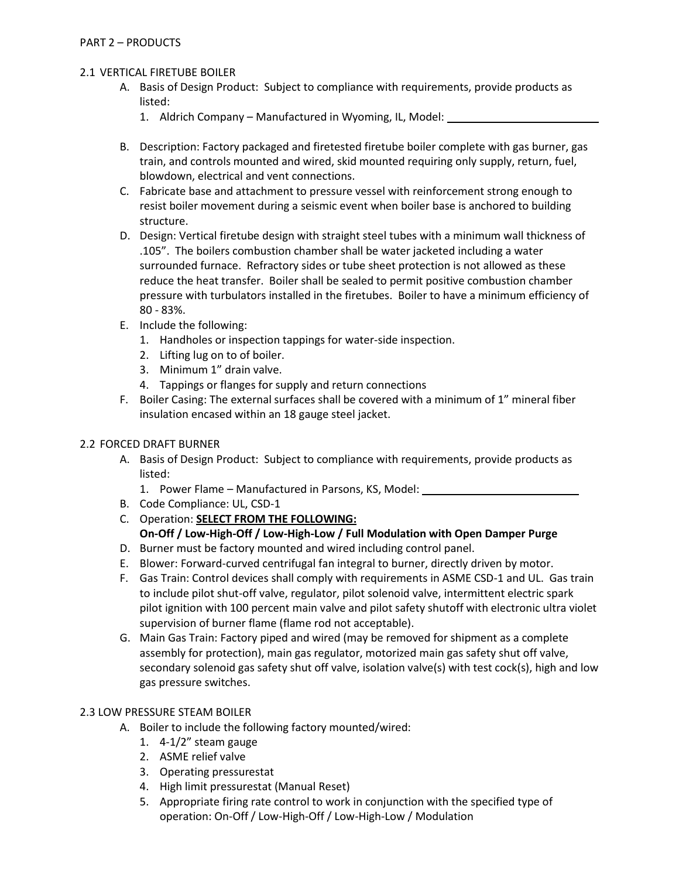## 2.1 VERTICAL FIRETUBE BOILER

- A. Basis of Design Product: Subject to compliance with requirements, provide products as listed:
	- 1. Aldrich Company Manufactured in Wyoming, IL, Model:
- B. Description: Factory packaged and firetested firetube boiler complete with gas burner, gas train, and controls mounted and wired, skid mounted requiring only supply, return, fuel, blowdown, electrical and vent connections.
- C. Fabricate base and attachment to pressure vessel with reinforcement strong enough to resist boiler movement during a seismic event when boiler base is anchored to building structure.
- D. Design: Vertical firetube design with straight steel tubes with a minimum wall thickness of .105". The boilers combustion chamber shall be water jacketed including a water surrounded furnace. Refractory sides or tube sheet protection is not allowed as these reduce the heat transfer. Boiler shall be sealed to permit positive combustion chamber pressure with turbulators installed in the firetubes. Boiler to have a minimum efficiency of 80 - 83%.
- E. Include the following:
	- 1. Handholes or inspection tappings for water-side inspection.
	- 2. Lifting lug on to of boiler.
	- 3. Minimum 1" drain valve.
	- 4. Tappings or flanges for supply and return connections
- F. Boiler Casing: The external surfaces shall be covered with a minimum of 1" mineral fiber insulation encased within an 18 gauge steel jacket.

## 2.2 FORCED DRAFT BURNER

- A. Basis of Design Product: Subject to compliance with requirements, provide products as listed:
	- 1. Power Flame Manufactured in Parsons, KS, Model:
- B. Code Compliance: UL, CSD-1
- C. Operation: **SELECT FROM THE FOLLOWING: On-Off / Low-High-Off / Low-High-Low / Full Modulation with Open Damper Purge**
- D. Burner must be factory mounted and wired including control panel.
- E. Blower: Forward-curved centrifugal fan integral to burner, directly driven by motor.
- F. Gas Train: Control devices shall comply with requirements in ASME CSD-1 and UL. Gas train to include pilot shut-off valve, regulator, pilot solenoid valve, intermittent electric spark pilot ignition with 100 percent main valve and pilot safety shutoff with electronic ultra violet supervision of burner flame (flame rod not acceptable).
- G. Main Gas Train: Factory piped and wired (may be removed for shipment as a complete assembly for protection), main gas regulator, motorized main gas safety shut off valve, secondary solenoid gas safety shut off valve, isolation valve(s) with test cock(s), high and low gas pressure switches.

### 2.3 LOW PRESSURE STEAM BOILER

- A. Boiler to include the following factory mounted/wired:
	- 1. 4-1/2" steam gauge
	- 2. ASME relief valve
	- 3. Operating pressurestat
	- 4. High limit pressurestat (Manual Reset)
	- 5. Appropriate firing rate control to work in conjunction with the specified type of operation: On-Off / Low-High-Off / Low-High-Low / Modulation